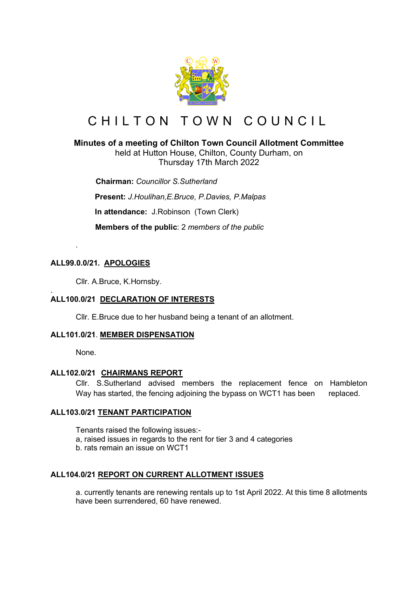

# CHILTON TOWN COUNCIL

# **Minutes of a meeting of Chilton Town Council Allotment Committee**

held at Hutton House, Chilton, County Durham, on Thursday 17th March 2022

 **Chairman:** *Councillor S.Sutherland* **Present:** *J.Houlihan,E.Bruce, P.Davies, P.Malpas*

**In attendance:** J.Robinson (Town Clerk)

 **Members of the public**: 2 *members of the public*

# **ALL99.0.0/21. APOLOGIES**

*.*

Cllr. A.Bruce, K.Hornsby.

#### . **ALL100.0/21 DECLARATION OF INTERESTS**

Cllr. E.Bruce due to her husband being a tenant of an allotment.

# **ALL101.0/21**. **MEMBER DISPENSATION**

None.

# **ALL102.0/21 CHAIRMANS REPORT**

Cllr. S.Sutherland advised members the replacement fence on Hambleton Way has started, the fencing adjoining the bypass on WCT1 has been replaced.

# **ALL103.0/21 TENANT PARTICIPATION**

Tenants raised the following issues:-

- a, raised issues in regards to the rent for tier 3 and 4 categories
- b. rats remain an issue on WCT1

# **ALL104.0/21 REPORT ON CURRENT ALLOTMENT ISSUES**

a. currently tenants are renewing rentals up to 1st April 2022. At this time 8 allotments have been surrendered, 60 have renewed.